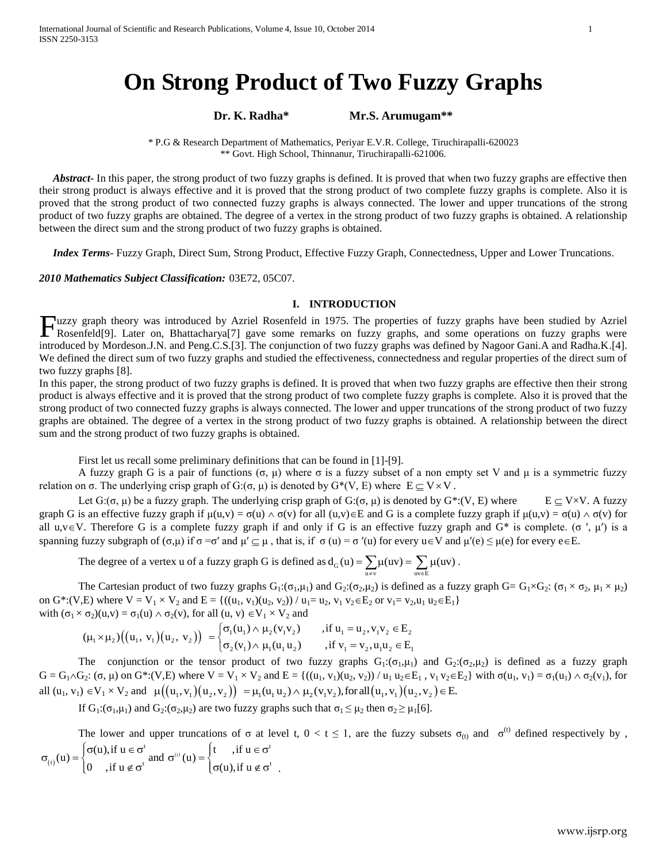# **On Strong Product of Two Fuzzy Graphs**

**Dr. K. Radha\* Mr.S. Arumugam\*\***

\* P.G & Research Department of Mathematics, Periyar E.V.R. College, Tiruchirapalli-620023 \*\* Govt. High School, Thinnanur, Tiruchirapalli-621006.

 *Abstract***-** In this paper, the strong product of two fuzzy graphs is defined. It is proved that when two fuzzy graphs are effective then their strong product is always effective and it is proved that the strong product of two complete fuzzy graphs is complete. Also it is proved that the strong product of two connected fuzzy graphs is always connected. The lower and upper truncations of the strong product of two fuzzy graphs are obtained. The degree of a vertex in the strong product of two fuzzy graphs is obtained. A relationship between the direct sum and the strong product of two fuzzy graphs is obtained.

 *Index Terms*- Fuzzy Graph, Direct Sum, Strong Product, Effective Fuzzy Graph, Connectedness, Upper and Lower Truncations.

#### *2010 Mathematics Subject Classification:* 03E72, 05C07.

### **I. INTRODUCTION**

Fuzzy graph theory was introduced by Azriel Rosenfeld in 1975. The properties of fuzzy graphs have been studied by Azriel<br>Rosenfeld[9]. Later on, Bhattacharya[7] gave some remarks on fuzzy graphs, and some operations on fu Rosenfel[d\[9\].](http://en.wikipedia.org/wiki/Fuzzy_mathematics#cite_note-13) Later on, Bhattacharya[7] gave some remarks on fuzzy graphs, and some operations on fuzzy graphs were introduced by Mordeson.J.N. and Peng.C.S.[3]. The conjunction of two fuzzy graphs was defined by Nagoor Gani.A and Radha.K.[4]. We defined the direct sum of two fuzzy graphs and studied the effectiveness, connectedness and regular properties of the direct sum of two fuzzy graphs [8].

In this paper, the strong product of two fuzzy graphs is defined. It is proved that when two fuzzy graphs are effective then their strong product is always effective and it is proved that the strong product of two complete fuzzy graphs is complete. Also it is proved that the strong product of two connected fuzzy graphs is always connected. The lower and upper truncations of the strong product of two fuzzy graphs are obtained. The degree of a vertex in the strong product of two fuzzy graphs is obtained. A relationship between the direct sum and the strong product of two fuzzy graphs is obtained.

First let us recall some preliminary definitions that can be found in [1]-[9].

A fuzzy graph G is a pair of functions  $(σ, μ)$  where  $σ$  is a fuzzy subset of a non empty set V and  $μ$  is a symmetric fuzzy relation on σ. The underlying crisp graph of G:(σ, μ) is denoted by  $G^*(V, E)$  where  $E \subseteq V \times V$ .

Let  $G: (\sigma, \mu)$  be a fuzzy graph. The underlying crisp graph of  $G: (\sigma, \mu)$  is denoted by  $G^*: (V, E)$  where  $E \subseteq V \times V$ . A fuzzy graph G is an effective fuzzy graph if  $\mu(u,v) = \sigma(u) \wedge \sigma(v)$  for all  $(u,v) \in E$  and G is a complete fuzzy graph if  $\mu(u,v) = \sigma(u) \wedge \sigma(v)$  for all  $u, v \in V$ . Therefore G is a complete fuzzy graph if and only if G is an effective fuzzy graph and G\* is complete. (σ',  $\mu'$ ) is a spanning fuzzy subgraph of  $(\sigma, \mu)$  if  $\sigma = \sigma'$  and  $\mu' \subseteq \mu$ , that is, if  $\sigma(u) = \sigma'(u)$  for every  $u \in V$  and  $\mu'(e) \leq \mu(e)$  for every  $e \in E$ .

The degree of a vertex u of a fuzzy graph G is defined as  $d_G(u) = \sum_{u \neq v} \mu(uv) = \sum_{uv \in E}$  $d_G(u) = \sum_{u \neq v} \mu(uv) = \sum_{uv \in E} \mu(uv)$ .

The Cartesian product of two fuzzy graphs  $G_1:(\sigma_1,\mu_1)$  and  $G_2:(\sigma_2,\mu_2)$  is defined as a fuzzy graph  $G = G_1 \times G_2$ :  $(\sigma_1 \times \sigma_2, \mu_1 \times \mu_2)$ on G\*:(V,E) where  $V = V_1 \times V_2$  and  $E = \{((u_1, v_1)(u_2, v_2)) / u_1 = u_2, v_1 v_2 \in E_2 \text{ or } v_1 = v_2, u_1 u_2 \in E_1\}$ <br>with  $(\sigma_1 \times \sigma_2)(u, v) = \sigma_1(u) \wedge \sigma_2(v)$ , for all  $(u, v) \in V_1 \times V_2$  and<br> $(\mu_1 \times \mu_2)((u_1, v_1)(u_2, v_2)) = \begin{cases} \sigma_1(u_1) \wedge \mu$ 

$$
\begin{aligned}\n\text{with } (\sigma_1 \times \sigma_2)(u, v) &= \sigma_1(u) \land \sigma_2(v), \text{ for all } (u, v) \in V_1 \times V_2 \text{ and } \\
&= \{((u_1, v_1)(u_2, v_2)) \land u_1 = u_2, v_1 \lor 2 \in L_2 \text{ or } v_1 = v_2, u_1 \, u_2 \in V_1 \times V_2 \text{ and } \\
&(\mu_1 \times \mu_2) \Big( (u_1, v_1) \Big( u_2, v_2 \Big) \Big) &= \begin{cases}\n\sigma_1(u_1) \land \mu_2(v_1 v_2) & \text{, if } u_1 = u_2, v_1 v_2 \in E_2 \\
\sigma_2(v_1) \land \mu_1(u_1 u_2) & \text{, if } v_1 = v_2, u_1 u_2 \in E_1\n\end{cases}\n\end{aligned}
$$

The conjunction or the tensor product of two fuzzy graphs  $G_1: (\sigma_1,\mu_1)$  and  $G_2: (\sigma_2,\mu_2)$  is defined as a fuzzy graph  $G = G_1 \wedge G_2$ :  $(\sigma, \mu)$  on  $G^*: (V, E)$  where  $V = V_1 \times V_2$  and  $E = \{((u_1, v_1)(u_2, v_2)) / u_1 u_2 \in E_1, v_1 v_2 \in E_2\}$  with  $\sigma(u_1, v_1) = \sigma_1(u_1) \wedge \sigma_2(v_1)$ , for The conjunction or the tensor product of two fuzzy graphs  $G_1: (\sigma_1, \mu_1)$  and  $G_2: (\sigma_2, \mu_2)$ <br>  $G = G_1 \wedge G_2: (\sigma, \mu)$  on  $G^*: (V, E)$  where  $V = V_1 \times V_2$  and  $E = \{((u_1, v_1)(u_2, v_2)) / u_1 u_2 \in E_1, v_1 v_2 \in E_2\}$  w<br>
all  $(u_1, v_1)$ 

If  $G_1: (\sigma_1, \mu_1)$  and  $G_2: (\sigma_2, \mu_2)$  are two fuzzy graphs such that  $\sigma_1 \leq \mu_2$  then  $\sigma_2 \geq \mu_1[6]$ .

The lower and upper truncations of  $\sigma$  at level t,  $0 < t \le 1$ , are the fuzzy subsets  $\sigma_{(t)}$  and  $\sigma^{(t)}$  defined respectively by, The lower and upper truncations of  $\sigma$  at 1<br>  $\sigma^{(t)}(u) = \begin{cases} \sigma(u), & \text{if } u \in \sigma^t \\ 0, & \text{if } u \in \sigma^t \end{cases}$  and  $\sigma^{(t)}(u) = \begin{cases} t, & \text{if } u \in \sigma^t \\ 0, & \text{if } u \in \sigma^t \end{cases}$  $\mathbf{r}_0(\mathbf{u}) =\begin{cases} \n\mathbf{u}(\mathbf{u}), \mathbf{u} \in \mathcal{O} \\ \n\mathbf{0} & \text{if } \mathbf{u} \notin \mathcal{O}^{\mathrm{t}} \\ \n\mathbf{v} & \text{if } \mathbf{u} \in \mathcal{O} \n\end{cases}$  and  $\mathbf{\sigma}^{(i)}(\mathbf{u}) =\begin{cases} \n\mathbf{t} & \text{if } \mathbf{u} \in \mathcal{O} \\ \n\mathbf{\sigma}(\mathbf{u}) & \text{if } \mathbf{u} \notin \mathcal{O}^{\mathrm{t}} \n\end$ The lower and upper truncations of  $\sigma$ <br>
(u) =  $\begin{cases} \sigma(u), \text{ if } u \in \sigma^t \\ 0, \text{ if } u \notin \sigma^t \end{cases}$  and  $\sigma^{(i)}(u) = \begin{cases} t, \text{ if } u \neq 0 \\ \sigma(u), \text{ if } u \neq 0 \end{cases}$  $\sigma(u)$ , if  $u \in \sigma^t$  and  $\sigma^{(t)}(u) = \begin{cases} t & \text{, if } u \\ \sigma(u) & \text{, if } u \notin \sigma^t \end{cases}$ The lower and upper truncations of  $\sigma$  at level<br>  $\sigma_{(t)}(u) = \begin{cases} \sigma(u), if \ u \in \sigma^t \\ 0, if \ u \notin \sigma^t \end{cases}$  and  $\sigma^{(t)}(u) = \begin{cases} t, if \ u \in \sigma^t \\ \sigma(u), if \ u \notin \sigma^t \end{cases}$ .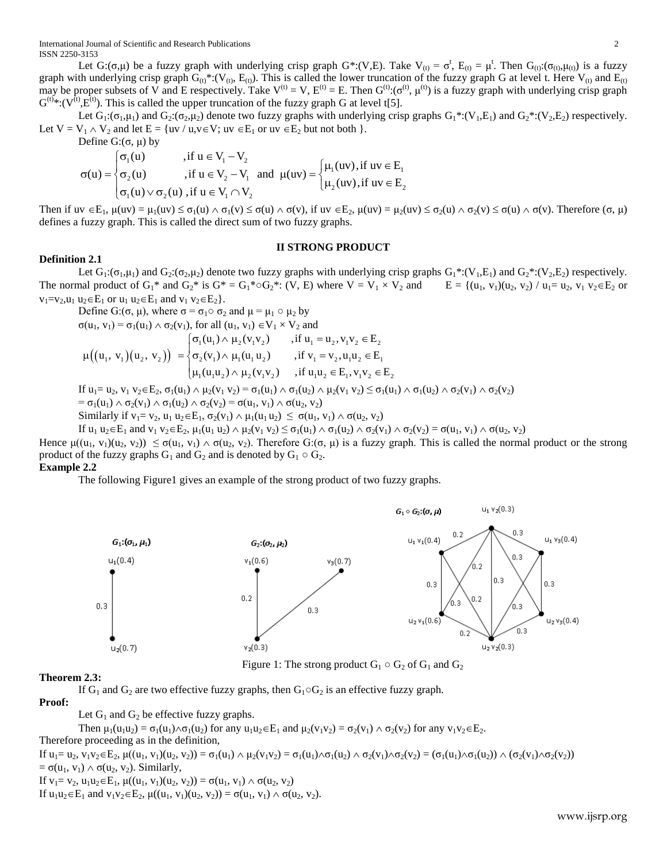International Journal of Scientific and Research Publications 2 ISSN 2250-3153

Let G:( $\sigma, \mu$ ) be a fuzzy graph with underlying crisp graph G\*:(V,E). Take V<sub>(t)</sub> =  $\sigma^t$ , E<sub>(t)</sub> =  $\mu^t$ . Then G<sub>(t)</sub>:( $\sigma_{(t)}, \mu_{(t)}$ ) is a fuzzy graph with underlying crisp graph  $G_{(t)}^*:(V_{(t)}, E_{(t)})$ . This is called the lower truncation of the fuzzy graph G at level t. Here  $V_{(t)}$  and  $E_{(t)}$ may be proper subsets of V and E respectively. Take  $V^{(t)} = V$ ,  $E^{(t)} = E$ . Then  $G^{(t)} \cdot (\sigma^{(t)}, \mu^{(t)})$  is a fuzzy graph with underlying crisp graph  $G^{(t)}*: (V^{(t)}, E^{(t)})$ . This is called the upper truncation of the fuzzy graph G at level t[5].

Let  $G_1: (\sigma_1, \mu_1)$  and  $G_2: (\sigma_2, \mu_2)$  denote two fuzzy graphs with underlying crisp graphs  $G_1^*: (V_1, E_1)$  and  $G_2^*: (V_2, E_2)$  respectively.

Define  $G: (\sigma, \mu)$  by

Let 
$$
V = V_1 \wedge V_2
$$
 and let  $E = \{uv / u, v \in V; uv \in E_1 \text{ or } uv \in E_2 \text{ but not both }\}.$   
\nDefine  $G: (\sigma, \mu)$  by  
\n
$$
\sigma(u) = \begin{cases}\n\sigma_1(u) & , \text{if } u \in V_1 - V_2 \\
\sigma_2(u) & , \text{if } u \in V_2 - V_1 \text{ and } \mu(uv) = \begin{cases}\n\mu_1(uv), \text{if } uv \in E_1 \\
\mu_2(uv), \text{if } uv \in E_2\n\end{cases}
$$

Then if  $uv \in E_1$ ,  $\mu(uv) = \mu_1(uv) \leq \sigma_1(u) \wedge \sigma_1(v) \leq \sigma(u) \wedge \sigma(v)$ , if  $uv \in E_2$ ,  $\mu(uv) = \mu_2(uv) \leq \sigma_2(u) \wedge \sigma_2(v) \leq \sigma(u) \wedge \sigma(v)$ . Therefore  $(\sigma, \mu)$ defines a fuzzy graph. This is called the direct sum of two fuzzy graphs.

#### **II STRONG PRODUCT**

# **Definition 2.1**

Let  $G_1: (\sigma_1,\mu_1)$  and  $G_2: (\sigma_2,\mu_2)$  denote two fuzzy graphs with underlying crisp graphs  $G_1^*: (V_1,E_1)$  and  $G_2^*: (V_2,E_2)$  respectively. The normal product of  $G_1^*$  and  $G_2^*$  is  $G^* = G_1^* \circ G_2^*$ : (V, E) where  $V = V_1 \times V_2$  and  $E = \{(u_1, v_1)(u_2, v_2) / u_1 = u_2, v_1, v_2 \in E_2 \text{ or } v_1 \in E_2\}$ 

$$
v_1 = v_2, u_1 \ u_2 \in E_1 \text{ or } u_1 \ u_2 \in E_1 \text{ and } v_1 \ v_2 \in E_2 \}.
$$
  
\nDefine  $G: (\sigma, \mu)$ , where  $\sigma = \sigma_1 \circ \sigma_2$  and  $\mu = \mu_1 \circ \mu_2$  by  
\n
$$
\sigma(u_1, v_1) = \sigma_1(u_1) \land \sigma_2(v_1), \text{ for all } (u_1, v_1) \in V_1 \times V_2 \text{ and}
$$
  
\n
$$
\mu((u_1, v_1)(u_2, v_2)) = \begin{cases} \sigma_1(u_1) \land \mu_2(v_1v_2) & \text{, if } u_1 = u_2, v_1v_2 \in E_2 \\ \sigma_2(v_1) \land \mu_1(u_1u_2) & \text{, if } v_1 = v_2, u_1u_2 \in E_1 \\ \mu_1(u_1u_2) \land \mu_2(v_1v_2) & \text{, if } u_1u_2 \in E_1, v_1v_2 \in E_2 \end{cases}
$$
  
\nIf  $u_1 = u_2, v_1 v_2 \in E_2, \sigma_1(u_1) \land \mu_2(v_1 v_2) = \sigma_1(u_1) \land \sigma_1(u_2) \land \mu_2(v_1 v_2) \le \sigma_1(u_1) \land \sigma_1(u_2) \land \sigma_2(v_1) \land \sigma_2(v_2) = \sigma(u_1, v_1) \land \sigma(u_2, v_2)$   
\nSimilarly if  $v_1 = v_2, u_1 u_2 \in E_1, \sigma_2(v_1) \land \mu_1(u_1 u_2) \le \sigma(u_1, v_1) \land \sigma(u_2, v_2)$ 

If  $u_1 u_2 \in E_1$  and  $v_1 v_2 \in E_2$ ,  $\mu_1(u_1 u_2) \wedge \mu_2(v_1 v_2) \leq \sigma_1(u_1) \wedge \sigma_1(u_2) \wedge \sigma_2(v_1) \wedge \sigma_2(v_2) = \sigma(u_1, v_1) \wedge \sigma(u_2, v_2)$ 

Hence  $\mu((u_1, v_1)(u_2, v_2)) \leq \sigma(u_1, v_1) \wedge \sigma(u_2, v_2)$ . Therefore G:( $\sigma, \mu$ ) is a fuzzy graph. This is called the normal product or the strong product of the fuzzy graphs  $G_1$  and  $G_2$  and is denoted by  $G_1 \circ G_2$ .

# **Example 2.2**

The following Figure1 gives an example of the strong product of two fuzzy graphs.



Figure 1: The strong product  $G_1 \circ G_2$  of  $G_1$  and  $G_2$ 

# **Theorem 2.3:**

If G<sub>1</sub> and G<sub>2</sub> are two effective fuzzy graphs, then  $G_1 \circ G_2$  is an effective fuzzy graph.

# **Proof:**

Let  $G_1$  and  $G_2$  be effective fuzzy graphs.

Then  $\mu_1(u_1u_2) = \sigma_1(u_1) \wedge \sigma_1(u_2)$  for any  $u_1u_2 \in E_1$  and  $\mu_2(v_1v_2) = \sigma_2(v_1) \wedge \sigma_2(v_2)$  for any  $v_1v_2 \in E_2$ . Therefore proceeding as in the definition,

If  $u_1 = u_2$ ,  $v_1v_2 \in E_2$ ,  $\mu((u_1, v_1)(u_2, v_2)) = \sigma_1(u_1) \wedge \mu_2(v_1v_2) = \sigma_1(u_1) \wedge \sigma_1(u_2) \wedge \sigma_2(v_1) \wedge \sigma_2(v_2) = (\sigma_1(u_1) \wedge \sigma_1(u_2)) \wedge (\sigma_2(v_1) \wedge \sigma_2(v_2))$ =  $\sigma(u_1, v_1) \wedge \sigma(u_2, v_2)$ . Similarly,

If  $v_1 = v_2$ ,  $u_1u_2 \in E_1$ ,  $\mu((u_1, v_1)(u_2, v_2)) = \sigma(u_1, v_1) \wedge \sigma(u_2, v_2)$ 

If  $u_1u_2 \in E_1$  and  $v_1v_2 \in E_2$ ,  $\mu((u_1, v_1)(u_2, v_2)) = \sigma(u_1, v_1) \wedge \sigma(u_2, v_2)$ .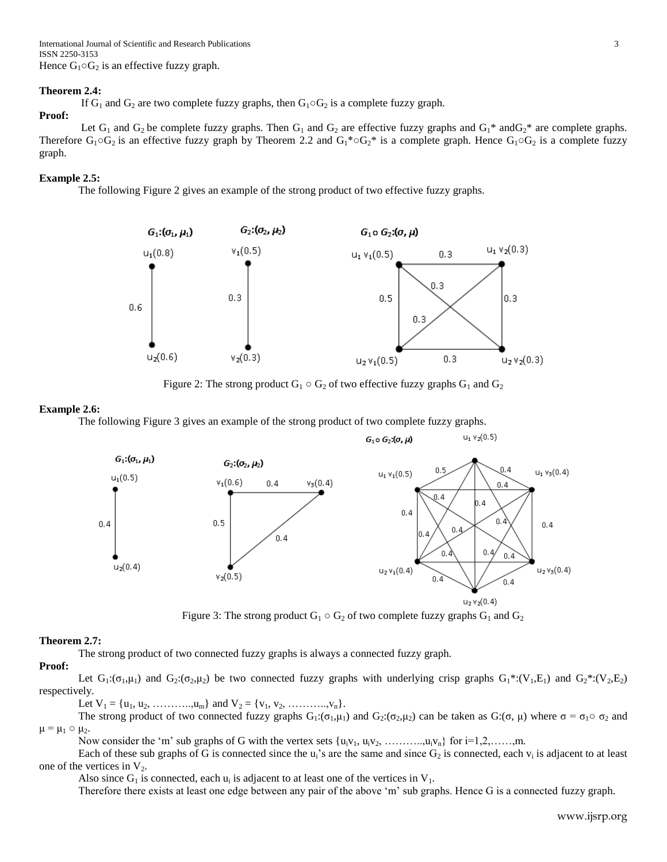# **Theorem 2.4:**

If  $G_1$  and  $G_2$  are two complete fuzzy graphs, then  $G_1 \circ G_2$  is a complete fuzzy graph.

# **Proof:**

Let  $G_1$  and  $G_2$  be complete fuzzy graphs. Then  $G_1$  and  $G_2$  are effective fuzzy graphs and  $G_1^*$  and  $G_2^*$  are complete graphs. Therefore  $G_1 \circ G_2$  is an effective fuzzy graph by Theorem 2.2 and  $G_1^* \circ G_2^*$  is a complete graph. Hence  $G_1 \circ G_2$  is a complete fuzzy graph.

#### **Example 2.5:**

The following Figure 2 gives an example of the strong product of two effective fuzzy graphs.



Figure 2: The strong product  $G_1 \circ G_2$  of two effective fuzzy graphs  $G_1$  and  $G_2$ 

#### **Example 2.6:**

The following Figure 3 gives an example of the strong product of two complete fuzzy graphs.



Figure 3: The strong product  $G_1 \circ G_2$  of two complete fuzzy graphs  $G_1$  and  $G_2$ 

# **Theorem 2.7:**

The strong product of two connected fuzzy graphs is always a connected fuzzy graph.

# **Proof:**

Let  $G_1: (\sigma_1,\mu_1)$  and  $G_2: (\sigma_2,\mu_2)$  be two connected fuzzy graphs with underlying crisp graphs  $G_1^*: (V_1,E_1)$  and  $G_2^*: (V_2,E_2)$ respectively.

Let  $V_1 = \{u_1, u_2, \ldots, u_m\}$  and  $V_2 = \{v_1, v_2, \ldots, v_n\}.$ 

The strong product of two connected fuzzy graphs  $G_1: (\sigma_1, \mu_1)$  and  $G_2: (\sigma_2, \mu_2)$  can be taken as  $G: (\sigma, \mu)$  where  $\sigma = \sigma_1 \circ \sigma_2$  and  $\mu = \mu_1 \circ \mu_2$ .

Now consider the 'm' sub graphs of G with the vertex sets  $\{u_i v_1, u_i v_2, \ldots, u_i v_n\}$  for  $i=1,2,\ldots, m$ .

Each of these sub graphs of G is connected since the  $u_i$ 's are the same and since  $G_2$  is connected, each  $v_i$  is adjacent to at least one of the vertices in  $V_2$ .

Also since  $G_1$  is connected, each  $u_i$  is adjacent to at least one of the vertices in  $V_1$ .

Therefore there exists at least one edge between any pair of the above "m" sub graphs. Hence G is a connected fuzzy graph.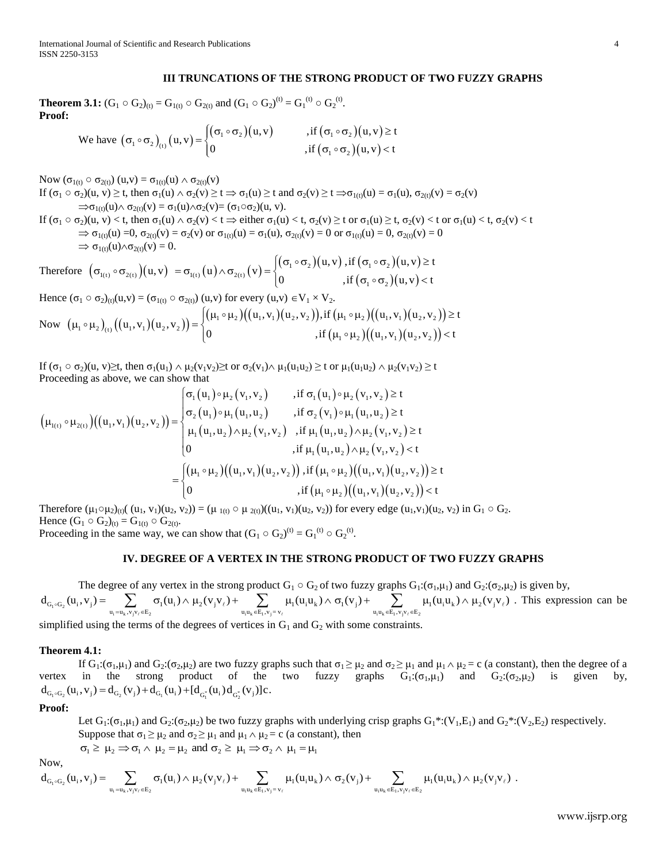# **III TRUNCATIONS OF THE STRONG PRODUCT OF TWO FUZZY GRAPHS**

**Theorem 3.1:**  $(G_1 \circ G_2)_{(t)} = G_{1(t)} \circ G_{2(t)}$  and  $(G_1 \circ G_2)^{(t)} = G_1^{(t)} \circ G_2^{(t)}$ .<br> **Proof:**<br>
We have  $(G_1 \circ G_2)$   $(U, V) = \begin{cases} (\sigma_1 \circ \sigma_2)(U, V) & , \text{if } (\sigma_1 \circ \sigma_2)(U, V) \geq t \end{cases}$ **Proof:** 

We have 
$$
(\sigma_1 \circ \sigma_2)_{(t)}(u, v) = \begin{cases} (\sigma_1 \circ \sigma_2)(u, v) & \text{, if } (\sigma_1 \circ \sigma_2)(u, v) \ge t \\ 0 & \text{, if } (\sigma_1 \circ \sigma_2)(u, v) < t \end{cases}
$$

Now (σ<sub>1(t)</sub> ○ σ<sub>2(t)</sub>) (u,v) = σ<sub>1(t)</sub>(u) ∧ σ<sub>2(t)</sub>(v)

If  $(\sigma_1 \circ \sigma_2)(u, v) \ge t$ , then  $\sigma_1(u) \land \sigma_2(v) \ge t \Rightarrow \sigma_1(u) \ge t$  and  $\sigma_2(v) \ge t \Rightarrow \sigma_1(0, u) = \sigma_1(u)$ ,  $\sigma_2(0, v) = \sigma_2(v)$  $\Rightarrow \sigma_{1(t)}(u) \wedge \sigma_{2(t)}(v) = \sigma_1(u) \wedge \sigma_2(v) = (\sigma_1 \circ \sigma_2)(u, v).$ 

If  $(\sigma_1 \circ \sigma_2)(u, v) < t$ , then  $\sigma_1(u) \wedge \sigma_2(v) < t \Rightarrow$  either  $\sigma_1(u) < t$ ,  $\sigma_2(v) \ge t$  or  $\sigma_1(u) \ge t$ ,  $\sigma_2(v) < t$  or  $\sigma_1(u) < t$ ,  $\sigma_2(v) < t$  $\Rightarrow \sigma_{1(t)}(u) = 0, \sigma_{2(t)}(v) = \sigma_2(v)$  or  $\sigma_{1(t)}(u) = \sigma_1(u), \sigma_{2(t)}(v) = 0$  or  $\sigma_{1(t)}(u) = 0, \sigma_{2(t)}(v) = 0$ <br>  $\Rightarrow \sigma_{1(t)}(u) \wedge \sigma_{2(t)}(v) = 0.$ <br>  $\Rightarrow (\sigma_{1(t)} \circ \sigma_{2(t)}) (u, v) = \sigma_{1(t)}(u) \wedge \sigma_{2(t)}(v) = \begin{cases} (\sigma_1 \circ \sigma_2)(u, v), \text{ if } (\sigma_1 \circ \sigma_2)(u, v) \ge t \\ ($  $\Rightarrow$   $\sigma_{1(t)}(u) \wedge \sigma_{2(t)}(v) = 0.$ 1),  $\sigma_{2(t)}(v) = 0$  or  $\sigma_{1(t)}(u) = 0$ ,  $\sigma_{2(t)}(v) = 0$ <br>  $\int (\sigma_1 \circ \sigma_2)(u, v)$ , if  $(\sigma_1 \circ \sigma_2)(u, v) \ge t$  $\sigma_{1(t)}(u) = 0$ ,  $\sigma_{2(t)}(v) = \sigma_2(v)$  or  $\sigma_{1(t)}(u) = \sigma_1(u)$ ,  $\sigma_{2(t)}(v) = 0$  or  $\sigma_{1(t)}(u) = 0$ ,  $\sigma_{2(t)}(v)$ <br>  $\sigma_{1(t)}(u) \wedge \sigma_{2(t)}(v) = 0$ .<br>  $\sigma_{1(t)} \circ \sigma_{2(t)}(u, v) = \sigma_{1(t)}(u) \wedge \sigma_{2(t)}(v) = \begin{cases} (\sigma_1 \circ \sigma_2)(u, v) , \text{if } (\sigma_1 \circ \sigma_2)(u, v) \\ 0$ 

$$
\Rightarrow \sigma_{1(t)}(u) = 0, \sigma_{2(t)}(v) = 0. \Rightarrow \sigma_{1(t)}(u) \wedge \sigma_{2(t)}(v) = 0.
$$
\nTherefore\n
$$
\begin{aligned}\n(\sigma_{1(t)} \circ \sigma_{2(t)})(u, v) &= \sigma_{1(t)}(u) \wedge \sigma_{2(t)}(v) = 0. \\
\sigma_{1(t)} \circ \sigma_{2(t)}(u, v) &= \sigma_{1(t)}(u) \wedge \sigma_{2(t)}(v) = \begin{cases}\n(\sigma_1 \circ \sigma_2)(u, v), & \text{if } (\sigma_1 \circ \sigma_2)(u, v) > t \\
0, & \text{if } (\sigma_1 \circ \sigma_2)(u, v) < t\n\end{cases}\n\end{aligned}
$$

Hence 
$$
(\sigma_1 \circ \sigma_2)_{(0)}(u, v) = (\sigma_{1(t)} \circ \sigma_{2(t)}) (u, v)
$$
 for every  $(u, v) \in V_1 \times V_2$ .  
\nNow  $(\mu_1 \circ \mu_2)_{(t)}((u_1, v_1)(u_2, v_2)) =\begin{cases} (\mu_1 \circ \mu_2)((u_1, v_1)(u_2, v_2)) & \text{if } (\mu_1 \circ \mu_2)((u_1, v_1)(u_2, v_2)) \in V_1 \text{ if } (\mu_1 \circ \mu_2)((u_1, v_1)(u_2, v_2)) \in V_1 \text{ if } (\mu_1 \circ \mu_2)((u_1, v_1)(u_2, v_2)) < t \end{cases}$ 

If  $(\sigma_1 \circ \sigma_2)(u, v) \ge t$ , then  $\sigma_1(u_1) \wedge \mu_2(v_1v_2) \ge t$  or  $\sigma_2(v_1) \wedge \mu_1(u_1u_2) \ge t$  or  $\mu_1(u_1u_2) \wedge \mu_2(v_1v_2) \ge t$ <br>Proceeding as above, we can show that<br> $\sigma_1(u_1) \circ \mu_2(v_1, v_2)$ , if  $\sigma_1(u_1) \circ \mu_2(v_1, v_2) \ge t$ Proceeding as above, we can show that

Proceeding as above, we can show that  
\n
$$
\left(\mu_{1(t)} \circ \mu_{2(t)}\right) \left((u_1, v_1)(u_2, v_2)\right) = \begin{cases}\n\sigma_1(u_1) \circ \mu_2(v_1, v_2) & , \text{if } \sigma_1(u_1) \circ \mu_2(v_1, v_2) \ge t \\
\sigma_2(u_1) \circ \mu_1(u_1, u_2) & , \text{if } \sigma_2(v_1) \circ \mu_1(u_1, u_2) \ge t \\
\mu_1(u_1, u_2) \land \mu_2(v_1, v_2) & , \text{if } \mu_1(u_1, u_2) \land \mu_2(v_1, v_2) \ge t \\
0 & , \text{if } \mu_1(u_1, u_2) \land \mu_2(v_1, v_2) & < t\n\end{cases}
$$
\n
$$
= \begin{cases}\n(\mu_1 \circ \mu_2) \left((u_1, v_1)(u_2, v_2)\right), \text{if } (\mu_1 \circ \mu_2) \left((u_1, v_1)(u_2, v_2)\right) \ge t \\
0 & , \text{if } (\mu_1 \circ \mu_2) \left((u_1, v_1)(u_2, v_2)\right) & < t\n\end{cases}
$$

Therefore  $(\mu_1 \circ \mu_2)_{(t)}((u_1, v_1)(u_2, v_2)) = (\mu_{1(t)} \circ \mu_{2(t)})((u_1, v_1)(u_2, v_2))$  for every edge  $(u_1, v_1)(u_2, v_2)$  in  $G_1 \circ G_2$ . Hence  $(G_1 \circ G_2)_{(t)} = G_{1(t)} \circ G_{2(t)}$ . Proceeding in the same way, we can show that  $(G_1 \circ G_2)^{(t)} = G_1^{(t)} \circ G_2^{(t)}$ .

# **IV. DEGREE OF A VERTEX IN THE STRONG PRODUCT OF TWO FUZZY GRAPHS**

Proceeding in the same way, we can show that  $(G_1 \circ G_2)^{(t)} = G_1^{(t)} \circ G_2^{(t)}$ .<br> **IV. DEGREE OF A VERTEX IN THE STRONG PRODUCT OF TWO FUZZY GRAPHS**<br>
The degree of any vertex in the strong product  $G_1 \circ G_2$  of two fuzzy gra . This expression can be

simplified using the terms of the degrees of vertices in  $G_1$  and  $G_2$  with some constraints.

#### **Theorem 4.1:**

If  $G_1:(\sigma_1,\mu_1)$  and  $G_2:(\sigma_2,\mu_2)$  are two fuzzy graphs such that  $\sigma_1 \geq \mu_2$  and  $\sigma_2 \geq \mu_1$  and  $\mu_1 \wedge \mu_2 = c$  (a constant), then the degree of a vertex in the strong product of the two fuzzy graphs  $G_1: (\sigma_1, \mu_1)$  and  $G_2: (\sigma_2, \mu_2)$  is given by,<br>d<sub>G<sub>1</sub>°G<sub>2</sub></sub>(u<sub>i</sub>, v<sub>j</sub>) = d<sub>G<sub>2</sub></sub>(v<sub>j</sub>) + d<sub>G<sub>1</sub></sub>(u<sub>i</sub>) + [d<sub>G<sub>1</sub><sup>\*</sup></sup>(u<sub>i</sub>) d<sub>G<sub>2</sub><sup>\*</sup></sub>(v<sub>j</sub>)]c.</sub> vertex in the strong product of the<br>  $d_{G_1 G_2}(u_i, v_j) = d_{G_2}(v_j) + d_{G_1}(u_i) + [d_{G_1^*}(u_i) d_{G_2^*}(v_j)]c.$ 

#### **Proof:**

Let  $G_1:(\sigma_1,\mu_1)$  and  $G_2:(\sigma_2,\mu_2)$  be two fuzzy graphs with underlying crisp graphs  $G_1^*:(V_1,E_1)$  and  $G_2^*: (V_2,E_2)$  respectively. Suppose that  $\sigma_1 \ge \mu_2$  and  $\sigma_2 \ge \mu_1$  and  $\mu_1 \wedge \mu_2 = c$  (a constant), then  $\sigma_1 \ge \mu_2 \Rightarrow \sigma_1 \wedge \mu_2 = \mu_2$  and  $\sigma_2 \ge \mu_1 \Rightarrow \sigma_2 \wedge \mu_1 = \mu_1$  $G_1:(\sigma_1,\mu_1)$  and  $G_2:(\sigma_2,\mu_2)$  be two fuzzy graphs with underlying crisp graphs  $G_1^*:(V_1,E_1)$  and  $G_2^*(V_2,E_1)$ <br>
ose that  $\sigma_1 \geq \mu_2$  and  $\sigma_2 \geq \mu_1$  and  $\mu_1 \wedge \mu_2 = c$  (a constant), then<br>  $\mu_2 \Rightarrow \sigma_1 \wedge \mu_2 =$ 

$$
\sigma_1 \geq \mu_2 \Rightarrow \sigma_1 \land \mu_2 = \mu_2 \text{ and } \sigma_2 \geq \mu_1 \Rightarrow \sigma_2 \land \mu_1 = \mu
$$

Suppose that 
$$
\sigma_1 \ge \mu_2
$$
 and  $\sigma_2 \ge \mu_1$  and  $\mu_1 \wedge \mu_2 = c$  (a constant), then  
\n
$$
\sigma_1 \ge \mu_2 \Rightarrow \sigma_1 \wedge \mu_2 = \mu_2
$$
 and  $\sigma_2 \ge \mu_1 \Rightarrow \sigma_2 \wedge \mu_1 = \mu_1$   
\nNow,  
\n
$$
d_{G_1 \circ G_2}(u_i, v_j) = \sum_{u_i = u_k, v_j v_\ell \in E_2} \sigma_1(u_i) \wedge \mu_2(v_j v_\ell) + \sum_{u_i u_k \in E_1, v_j = v_\ell} \mu_1(u_i u_k) \wedge \sigma_2(v_j) + \sum_{u_i u_k \in E_1, v_j v_\ell \in E_2} \mu_1(u_i u_k) \wedge \mu_2(v_j v_\ell).
$$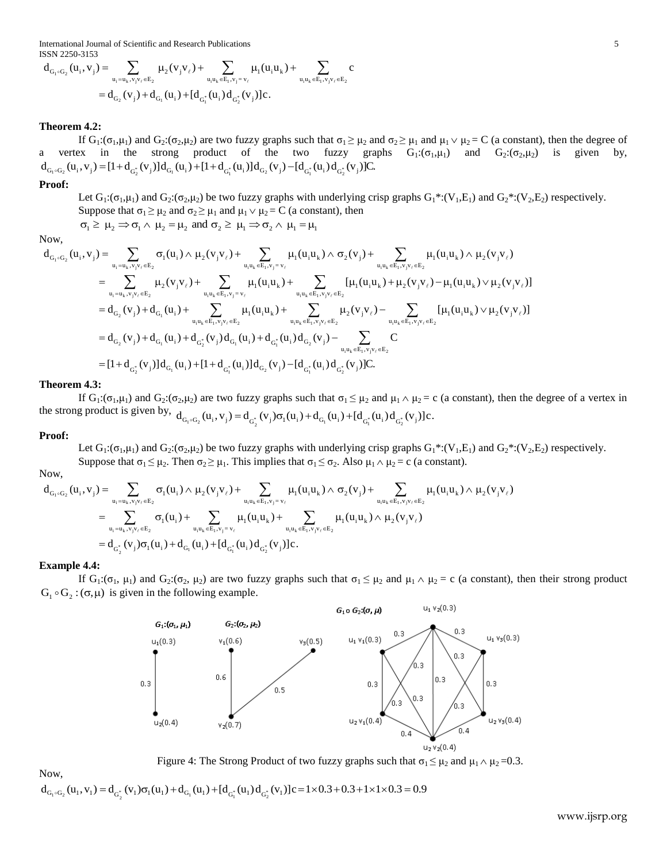ISSN 2250-3153

International Journal of Scientific and Research Publications  
\nISSN 2250-3153  
\n
$$
d_{G_1 \circ G_2}(u_i, v_j) = \sum_{u_i = u_k, v_j v_\ell \in E_2} \mu_2(v_j v_\ell) + \sum_{u_i u_k \in E_1, v_j = v_\ell} \mu_1(u_i u_k) + \sum_{u_i u_k \in E_1, v_j v_\ell \in E_2} c
$$
\n
$$
= d_{G_2}(v_j) + d_{G_1}(u_i) + [d_{G_1^*}(u_i) d_{G_2^*}(v_j)]c.
$$

# **Theorem 4.2:**

If  $G_1:(\sigma_1,\mu_1)$  and  $G_2:(\sigma_2,\mu_2)$  are two fuzzy graphs such that  $\sigma_1 \geq \mu_2$  and  $\sigma_2 \geq \mu_1$  and  $\mu_1 \vee \mu_2 = C$  (a constant), then the degree of a vertex in the strong product of the two fuzzy graphs  $G_1: (\sigma_1, \mu_1)$  and  $G_2: (\sigma_2, \mu_2)$  is given by, The set of the two fuzzy graphs such that σ<sub>1</sub> ≥ μ<sub>2</sub> and c<sub>1</sub>:(σ<sub>1</sub>,μ<sub>1</sub>) and G<sub>2</sub>:(σ<sub>2</sub>,μ<sub>2</sub>) are two fuzzy graphs such that σ<sub>1</sub> ≥ μ<sub>2</sub> and vertex in the strong product of the two fuzzy graphs  $d_{G_1 \circ G_2}(u_i, v_j) = [1 + d$ 

# **Proof:**

Let  $G_1:(\sigma_1,\mu_1)$  and  $G_2:(\sigma_2,\mu_2)$  be two fuzzy graphs with underlying crisp graphs  $G_1^*:(V_1,E_1)$  and  $G_2^*: (V_2,E_2)$  respectively. Solution  $\mu_2 \Rightarrow \sigma_1 \wedge \mu_2 = \mu_2$  and  $\sigma_2 \ge \mu_1$  and  $\mu_1 \vee \mu_2 = C$  (a constant), then<br>  $\mu_2 \Rightarrow \sigma_1 \wedge \mu_2 = \mu_2$  and  $\sigma_2 \ge \mu_1 \Rightarrow \sigma_2 \wedge \mu_1 = \mu_1$ <br>  $= \sum_{u_i=u_k, v_i v_j \in E_2} \sigma_1(u_i) \wedge \mu_2(v_j v_\ell) + \sum_{u_i u_k \in E_1, v_i = v_\ell} \mu_1(u_i u_k$ 

Now,

Proof:  
\nLet 
$$
G_1: (\sigma_1, \mu_1)
$$
 and  $G_2: (\sigma_2, \mu_2)$  be two fuzzy graphs with underlying crisp graphs  $G_1^*: (V_1, E_1)$  and  $G_2^*: (V_2, E_2)$  re:  
\nSuppose that  $\sigma_1 \ge \mu_2$  and  $\sigma_2 \ge \mu_1$  and  $\mu_1 \vee \mu_2 = C$  (a constant), then  
\n
$$
\sigma_1 \ge \mu_2 \Rightarrow \sigma_1 \wedge \mu_2 = \mu_2
$$
 and  $\sigma_2 \ge \mu_1 \Rightarrow \sigma_2 \wedge \mu_1 = \mu_1$   
\nNow,  
\n
$$
d_{G_1 \circ G_2}(u_1, v_j) = \sum_{u_1 = u_k, v_j v_j \in E_2} \sigma_1(u_1) \wedge \mu_2(v_j v_\ell) + \sum_{u_1 u_k \in E_1, v_j = v_\ell} \mu_1(u_1 u_k) \wedge \sigma_2(v_j) + \sum_{u_1 u_k \in E_1, v_j v_\ell \in E_2} \mu_1(u_1 u_k) \wedge \mu_2(v_j v_\ell)
$$
\n
$$
= \sum_{u_1 = u_k, v_j v_\ell \in E_2} \mu_2(v_j v_\ell) + \sum_{u_1 u_k \in E_1, v_j = v_\ell} \mu_1(u_1 u_k) + \sum_{u_1 u_k \in E_1, v_j v_\ell \in E_2} [\mu_1(u_1 u_k) + \mu_2(v_j v_\ell) - \mu_1(u_1 u_k) \vee \mu_2(v_j v_\ell)]
$$
\n
$$
= d_{G_2}(v_j) + d_{G_1}(u_1) + \sum_{u_1 u_k \in E_1, v_j v_\ell \in E_2} \mu_1(u_1 u_k) + \sum_{u_1 u_k \in E_1, v_j v_\ell \in E_2} [\mu_2(v_j v_\ell) - \sum_{u_1 u_k \in E_1, v_j v_\ell \in E_2} [\mu_1(u_1 u_k) \vee \mu_2(v_j v_\ell)]
$$
\n
$$
= d_{G_2}(v_j) + d_{G_1}(u_1) + d_{G_2^*}(v_j) d_{G_1}(u_1) + d_{G_1^*}(u_1) d_{G_2}(v_j) - d_{G_
$$

#### **Theorem 4.3:**

If  $G_1:(\sigma_1,\mu_1)$  and  $G_2:(\sigma_2,\mu_2)$  are two fuzzy graphs such that  $\sigma_1 \leq \mu_2$  and  $\mu_1 \wedge \mu_2 = c$  (a constant), then the degree of a vertex in If  $G_1: (\sigma_1, \mu_1)$  and  $G_2: (\sigma_2, \mu_2)$  are two fuzzy graphs such that  $\sigma_1 \leq \mu_2$  and  $\mu_1 \wedge \mu_2 = \sigma_1$ <br>the strong product is given by,  $d_{G_1 \circ G_2}(u_i, v_j) = d_{G_2^*}(v_j) \sigma_1(u_i) + d_{G_1}(u_i) + [d_{G_1^*}(u_i) d_{G_2^*}(v_j)]c$ .

#### **Proof:**

Suppose that  $\sigma_1 \leq \mu_2$ . Then  $\sigma_2 \geq \mu_1$ . This implies that  $\sigma_1 \leq \sigma_2$ . Also  $\mu_1 \wedge \mu_2 = c$  (a constant).

Now,

**Proof:**  
\nLet 
$$
G_1: (\sigma_1, \mu_1)
$$
 and  $G_2: (\sigma_2, \mu_2)$  be two fuzzy graphs with underlying crisp graphs  $G_1^*: (V_1, E_1)$  and  $G_2^*: (V_2, E_2)$  respectively.  
\nSuppose that  $\sigma_1 \leq \mu_2$ . Then  $\sigma_2 \geq \mu_1$ . This implies that  $\sigma_1 \leq \sigma_2$ . Also  $\mu_1 \wedge \mu_2 = c$  (a constant).  
\nNow,  
\n
$$
d_{G_1 \circ G_2}(u_1, v_1) = \sum_{u_1 = u_k, v_j v_\ell \in E_2} \sigma_1(u_1) \wedge \mu_2(v_j v_\ell) + \sum_{u_i u_k \in E_1, v_j = v_\ell} \mu_1(u_i u_k) \wedge \sigma_2(v_j) + \sum_{u_i u_k \in E_1, v_j v_\ell \in E_2} \mu_1(u_i u_k) \wedge \mu_2(v_j v_\ell)
$$
\n
$$
= \sum_{u_i = u_k, v_j v_\ell \in E_2} \sigma_1(u_1) + \sum_{u_i u_k \in E_1, v_j = v_\ell} \mu_1(u_i u_k) + \sum_{u_i u_k \in E_1, v_j v_\ell \in E_2} \mu_1(u_i u_k) \wedge \mu_2(v_j v_\ell)
$$
\n
$$
= d_{G_2^*}(v_j) \sigma_1(u_j) + d_{G_1}(u_j) + [d_{G_1^*}(u_j) d_{G_2^*}(v_j)]c.
$$

#### **Example 4.4:**

If  $G_1: (\sigma_1, \mu_1)$  and  $G_2: (\sigma_2, \mu_2)$  are two fuzzy graphs such that  $\sigma_1 \leq \mu_2$  and  $\mu_1 \wedge \mu_2 = c$  (a constant), then their strong product  $G_1 \circ G_2 : (\sigma, \mu)$  is given in the following example.



**Figure 4: The Strong Product of two fuzzy graphs such that**  $\sigma_1 \leq \mu_2$  **and**  $\mu_1 \wedge \mu_2 = 0.3$ **.** 

# Now,

Figure 4: The Strong Product of two fuzzy graphs such that  $\sigma_1 \le \mu_2$  and  $d_{G_1 \circ G_2}(u_1, v_1) = d_{G_2^*}(v_1) \sigma_1(u_1) + d_{G_1}(u_1) + [d_{G_1^*}(u_1) d_{G_2^*}(v_1)]c = 1 \times 0.3 + 0.3 + 1 \times 1 \times 0.3 = 0.9$